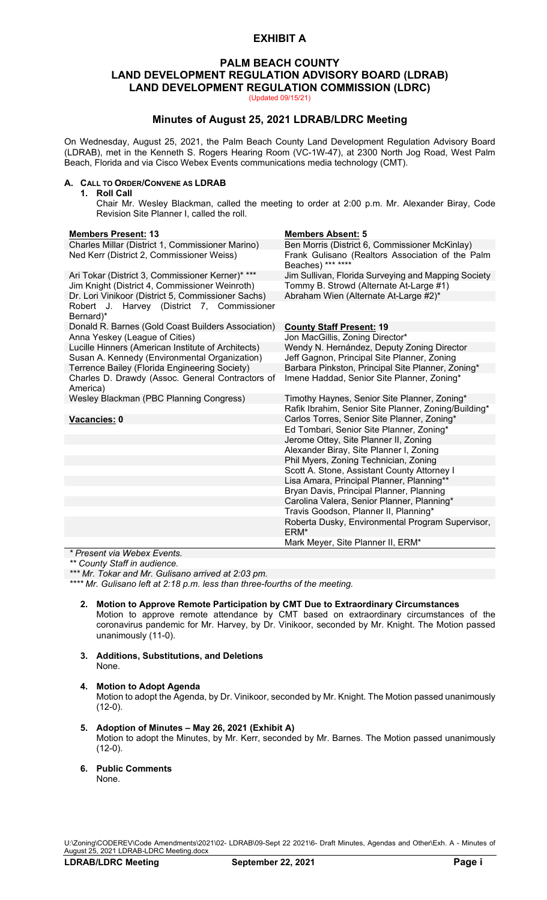# **EXHIBIT A**

# **PALM BEACH COUNTY LAND DEVELOPMENT REGULATION ADVISORY BOARD (LDRAB) LAND DEVELOPMENT REGULATION COMMISSION (LDRC)**

(Updated 09/15/21)

# **Minutes of August 25, 2021 LDRAB/LDRC Meeting**

On Wednesday, August 25, 2021, the Palm Beach County Land Development Regulation Advisory Board (LDRAB), met in the Kenneth S. Rogers Hearing Room (VC-1W-47), at 2300 North Jog Road, West Palm Beach, Florida and via Cisco Webex Events communications media technology (CMT).

### **A. CALL TO ORDER/CONVENE AS LDRAB**

**1. Roll Call**

Chair Mr. Wesley Blackman, called the meeting to order at 2:00 p.m. Mr. Alexander Biray, Code Revision Site Planner I, called the roll.

| <b>Members Present: 13</b>                                                                         | <b>Members Absent: 5</b>                                                                       |
|----------------------------------------------------------------------------------------------------|------------------------------------------------------------------------------------------------|
| Charles Millar (District 1, Commissioner Marino)                                                   | Ben Morris (District 6, Commissioner McKinlay)                                                 |
| Ned Kerr (District 2, Commissioner Weiss)                                                          | Frank Gulisano (Realtors Association of the Palm<br>Beaches) *** ****                          |
| Ari Tokar (District 3, Commissioner Kerner)* ***<br>Jim Knight (District 4, Commissioner Weinroth) | Jim Sullivan, Florida Surveying and Mapping Society<br>Tommy B. Strowd (Alternate At-Large #1) |
| Dr. Lori Vinikoor (District 5, Commissioner Sachs)                                                 | Abraham Wien (Alternate At-Large #2)*                                                          |
| Robert J. Harvey (District 7, Commissioner<br>Bernard)*                                            |                                                                                                |
| Donald R. Barnes (Gold Coast Builders Association)                                                 | <b>County Staff Present: 19</b>                                                                |
| Anna Yeskey (League of Cities)                                                                     | Jon MacGillis, Zoning Director*                                                                |
| Lucille Hinners (American Institute of Architects)                                                 | Wendy N. Hernández, Deputy Zoning Director                                                     |
| Susan A. Kennedy (Environmental Organization)                                                      | Jeff Gagnon, Principal Site Planner, Zoning                                                    |
| Terrence Bailey (Florida Engineering Society)                                                      | Barbara Pinkston, Principal Site Planner, Zoning*                                              |
| Charles D. Drawdy (Assoc. General Contractors of<br>America)                                       | Imene Haddad, Senior Site Planner, Zoning*                                                     |
| Wesley Blackman (PBC Planning Congress)                                                            | Timothy Haynes, Senior Site Planner, Zoning*                                                   |
|                                                                                                    | Rafik Ibrahim, Senior Site Planner, Zoning/Building*                                           |
| Vacancies: 0                                                                                       | Carlos Torres, Senior Site Planner, Zoning*                                                    |
|                                                                                                    | Ed Tombari, Senior Site Planner, Zoning*                                                       |
|                                                                                                    | Jerome Ottey, Site Planner II, Zoning                                                          |
|                                                                                                    | Alexander Biray, Site Planner I, Zoning                                                        |
|                                                                                                    | Phil Myers, Zoning Technician, Zoning                                                          |
|                                                                                                    | Scott A. Stone, Assistant County Attorney I                                                    |
|                                                                                                    | Lisa Amara, Principal Planner, Planning**                                                      |
|                                                                                                    | Bryan Davis, Principal Planner, Planning                                                       |
|                                                                                                    | Carolina Valera, Senior Planner, Planning*                                                     |
|                                                                                                    | Travis Goodson, Planner II, Planning*                                                          |
|                                                                                                    | Roberta Dusky, Environmental Program Supervisor,<br>ERM*                                       |
|                                                                                                    | Mark Meyer, Site Planner II, ERM*                                                              |

*\* Present via Webex Events.*

*\*\* County Staff in audience.*

*\*\*\* Mr. Tokar and Mr. Gulisano arrived at 2:03 pm.*

*\*\*\*\* Mr. Gulisano left at 2:18 p.m. less than three-fourths of the meeting.*

- **2. Motion to Approve Remote Participation by CMT Due to Extraordinary Circumstances** Motion to approve remote attendance by CMT based on extraordinary circumstances of the coronavirus pandemic for Mr. Harvey, by Dr. Vinikoor, seconded by Mr. Knight. The Motion passed unanimously (11-0).
- **3. Additions, Substitutions, and Deletions** None.

# **4. Motion to Adopt Agenda**

Motion to adopt the Agenda, by Dr. Vinikoor, seconded by Mr. Knight. The Motion passed unanimously (12-0).

- **5. Adoption of Minutes – May 26, 2021 (Exhibit A)** Motion to adopt the Minutes, by Mr. Kerr, seconded by Mr. Barnes. The Motion passed unanimously (12-0).
- **6. Public Comments**

None.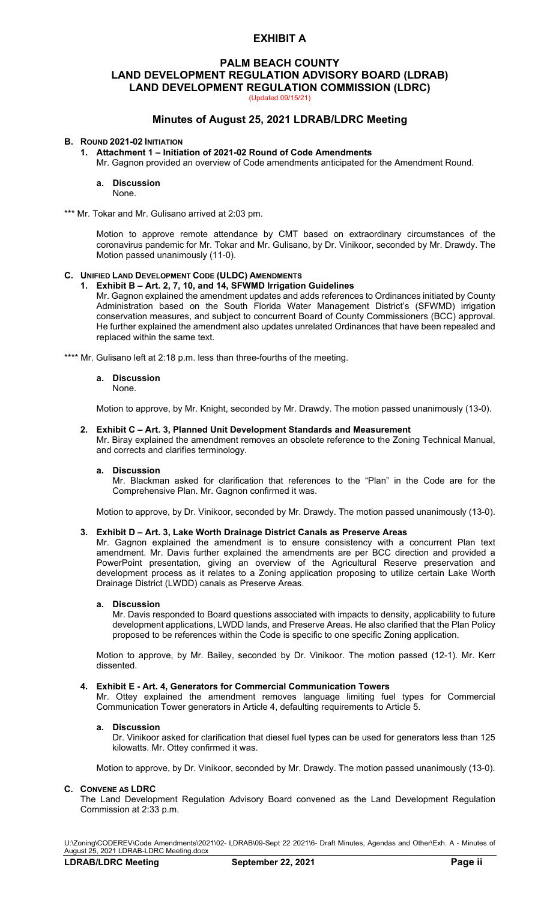# **EXHIBIT A**

# **PALM BEACH COUNTY LAND DEVELOPMENT REGULATION ADVISORY BOARD (LDRAB) LAND DEVELOPMENT REGULATION COMMISSION (LDRC)**

(Updated 09/15/21)

# **Minutes of August 25, 2021 LDRAB/LDRC Meeting**

### **B. ROUND 2021-02 INITIATION**

- **1. Attachment 1 – Initiation of 2021-02 Round of Code Amendments**
- Mr. Gagnon provided an overview of Code amendments anticipated for the Amendment Round.

## **a. Discussion**

- None.
- \*\*\* Mr. Tokar and Mr. Gulisano arrived at 2:03 pm.

Motion to approve remote attendance by CMT based on extraordinary circumstances of the coronavirus pandemic for Mr. Tokar and Mr. Gulisano, by Dr. Vinikoor, seconded by Mr. Drawdy. The Motion passed unanimously (11-0).

### **C. UNIFIED LAND DEVELOPMENT CODE (ULDC) AMENDMENTS**

**1. Exhibit B – Art. 2, 7, 10, and 14, SFWMD Irrigation Guidelines**

Mr. Gagnon explained the amendment updates and adds references to Ordinances initiated by County Administration based on the South Florida Water Management District's (SFWMD) irrigation conservation measures, and subject to concurrent Board of County Commissioners (BCC) approval. He further explained the amendment also updates unrelated Ordinances that have been repealed and replaced within the same text.

\*\*\*\* Mr. Gulisano left at 2:18 p.m. less than three-fourths of the meeting.

#### **a. Discussion**

#### None.

Motion to approve, by Mr. Knight, seconded by Mr. Drawdy. The motion passed unanimously (13-0).

#### **2. Exhibit C – Art. 3, Planned Unit Development Standards and Measurement**

Mr. Biray explained the amendment removes an obsolete reference to the Zoning Technical Manual, and corrects and clarifies terminology.

#### **a. Discussion**

Mr. Blackman asked for clarification that references to the "Plan" in the Code are for the Comprehensive Plan. Mr. Gagnon confirmed it was.

Motion to approve, by Dr. Vinikoor, seconded by Mr. Drawdy. The motion passed unanimously (13-0).

### **3. Exhibit D – Art. 3, Lake Worth Drainage District Canals as Preserve Areas**

Mr. Gagnon explained the amendment is to ensure consistency with a concurrent Plan text amendment. Mr. Davis further explained the amendments are per BCC direction and provided a PowerPoint presentation, giving an overview of the Agricultural Reserve preservation and development process as it relates to a Zoning application proposing to utilize certain Lake Worth Drainage District (LWDD) canals as Preserve Areas.

#### **a. Discussion**

Mr. Davis responded to Board questions associated with impacts to density, applicability to future development applications, LWDD lands, and Preserve Areas. He also clarified that the Plan Policy proposed to be references within the Code is specific to one specific Zoning application.

Motion to approve, by Mr. Bailey, seconded by Dr. Vinikoor. The motion passed (12-1). Mr. Kerr dissented.

#### **4. Exhibit E - Art. 4, Generators for Commercial Communication Towers**

Mr. Ottey explained the amendment removes language limiting fuel types for Commercial Communication Tower generators in Article 4, defaulting requirements to Article 5.

#### **a. Discussion**

Dr. Vinikoor asked for clarification that diesel fuel types can be used for generators less than 125 kilowatts. Mr. Ottey confirmed it was.

Motion to approve, by Dr. Vinikoor, seconded by Mr. Drawdy. The motion passed unanimously (13-0).

#### **C. CONVENE AS LDRC**

The Land Development Regulation Advisory Board convened as the Land Development Regulation Commission at 2:33 p.m.

U:\Zoning\CODEREV\Code Amendments\2021\02- LDRAB\09-Sept 22 2021\6- Draft Minutes, Agendas and Other\Exh. A - Minutes of August 25, 2021 LDRAB-LDRC Meeting.docx